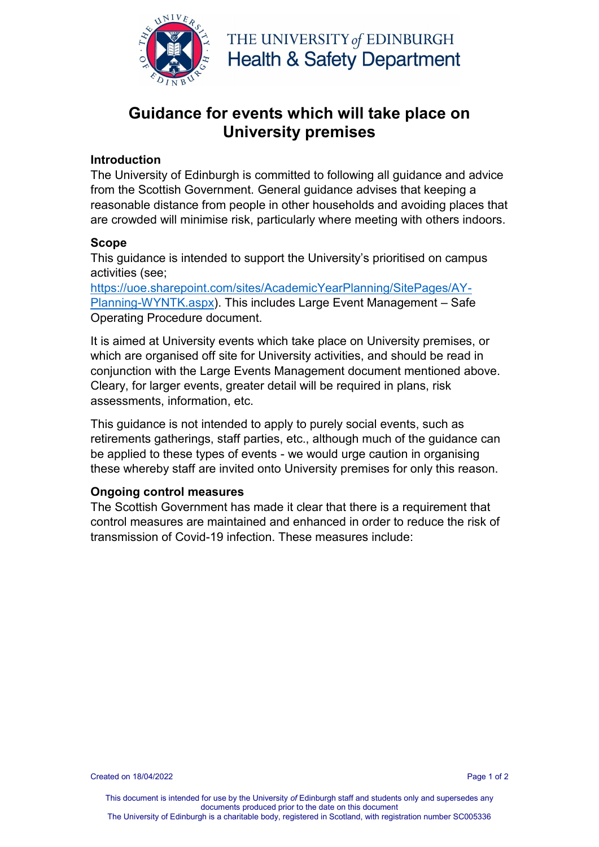

THE UNIVERSITY of EDINBURGH **Health & Safety Department** 

# **Guidance for events which will take place on University premises**

### **Introduction**

The University of Edinburgh is committed to following all guidance and advice from the Scottish Government. General guidance advises that keeping a reasonable distance from people in other households and avoiding places that are crowded will minimise risk, particularly where meeting with others indoors.

### **Scope**

This guidance is intended to support the University's prioritised on campus activities (see;

[https://uoe.sharepoint.com/sites/AcademicYearPlanning/SitePages/AY-](https://uoe.sharepoint.com/sites/AcademicYearPlanning/SitePages/AY-Planning-WYNTK.aspx)[Planning-WYNTK.aspx\)](https://uoe.sharepoint.com/sites/AcademicYearPlanning/SitePages/AY-Planning-WYNTK.aspx). This includes Large Event Management – Safe Operating Procedure document.

It is aimed at University events which take place on University premises, or which are organised off site for University activities, and should be read in conjunction with the Large Events Management document mentioned above. Cleary, for larger events, greater detail will be required in plans, risk assessments, information, etc.

This guidance is not intended to apply to purely social events, such as retirements gatherings, staff parties, etc., although much of the guidance can be applied to these types of events - we would urge caution in organising these whereby staff are invited onto University premises for only this reason.

### **Ongoing control measures**

The Scottish Government has made it clear that there is a requirement that control measures are maintained and enhanced in order to reduce the risk of transmission of Covid-19 infection. These measures include: